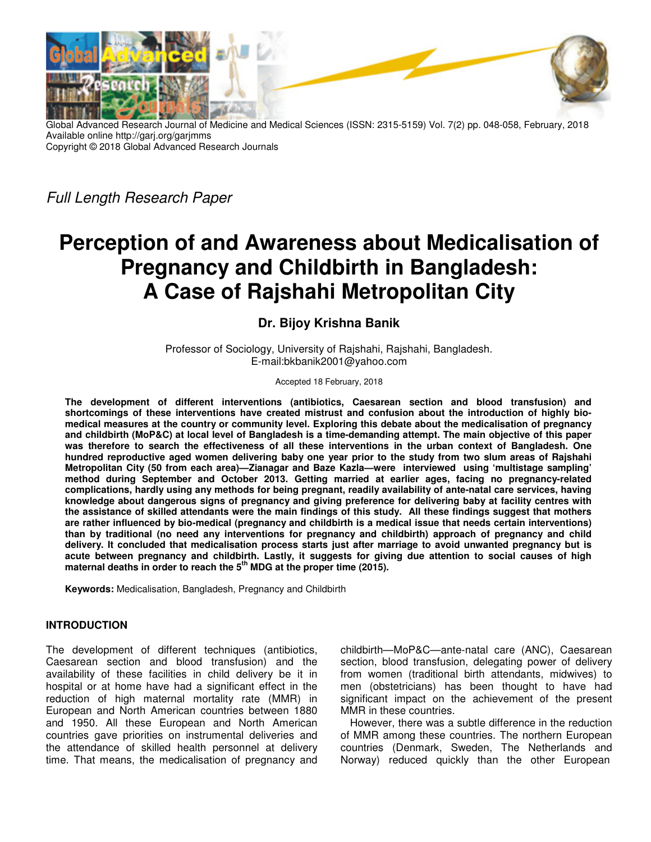

Global Advanced Research Journal of Medicine and Medical Sciences (ISSN: 2315-5159) Vol. 7(2) pp. 048-058, February, 2018 Available online http://garj.org/garjmms Copyright © 2018 Global Advanced Research Journals

*Full Length Research Paper* 

# **Perception of and Awareness about Medicalisation of Pregnancy and Childbirth in Bangladesh: A Case of Rajshahi Metropolitan City**

# **Dr. Bijoy Krishna Banik**

Professor of Sociology, University of Rajshahi, Rajshahi, Bangladesh. E-mail:bkbanik2001@yahoo.com

#### Accepted 18 February, 2018

**The development of different interventions (antibiotics, Caesarean section and blood transfusion) and shortcomings of these interventions have created mistrust and confusion about the introduction of highly biomedical measures at the country or community level. Exploring this debate about the medicalisation of pregnancy and childbirth (MoP&C) at local level of Bangladesh is a time-demanding attempt. The main objective of this paper was therefore to search the effectiveness of all these interventions in the urban context of Bangladesh. One hundred reproductive aged women delivering baby one year prior to the study from two slum areas of Rajshahi Metropolitan City (50 from each area)—Zianagar and Baze Kazla—were interviewed using 'multistage sampling' method during September and October 2013. Getting married at earlier ages, facing no pregnancy-related complications, hardly using any methods for being pregnant, readily availability of ante-natal care services, having knowledge about dangerous signs of pregnancy and giving preference for delivering baby at facility centres with the assistance of skilled attendants were the main findings of this study. All these findings suggest that mothers are rather influenced by bio-medical (pregnancy and childbirth is a medical issue that needs certain interventions) than by traditional (no need any interventions for pregnancy and childbirth) approach of pregnancy and child delivery. It concluded that medicalisation process starts just after marriage to avoid unwanted pregnancy but is acute between pregnancy and childbirth. Lastly, it suggests for giving due attention to social causes of high maternal deaths in order to reach the 5th MDG at the proper time (2015).** 

**Keywords:** Medicalisation, Bangladesh, Pregnancy and Childbirth

#### **INTRODUCTION**

The development of different techniques (antibiotics, Caesarean section and blood transfusion) and the availability of these facilities in child delivery be it in hospital or at home have had a significant effect in the reduction of high maternal mortality rate (MMR) in European and North American countries between 1880 and 1950. All these European and North American countries gave priorities on instrumental deliveries and the attendance of skilled health personnel at delivery time. That means, the medicalisation of pregnancy and childbirth—MoP&C—ante-natal care (ANC), Caesarean section, blood transfusion, delegating power of delivery from women (traditional birth attendants, midwives) to men (obstetricians) has been thought to have had significant impact on the achievement of the present MMR in these countries.

However, there was a subtle difference in the reduction of MMR among these countries. The northern European countries (Denmark, Sweden, The Netherlands and Norway) reduced quickly than the other European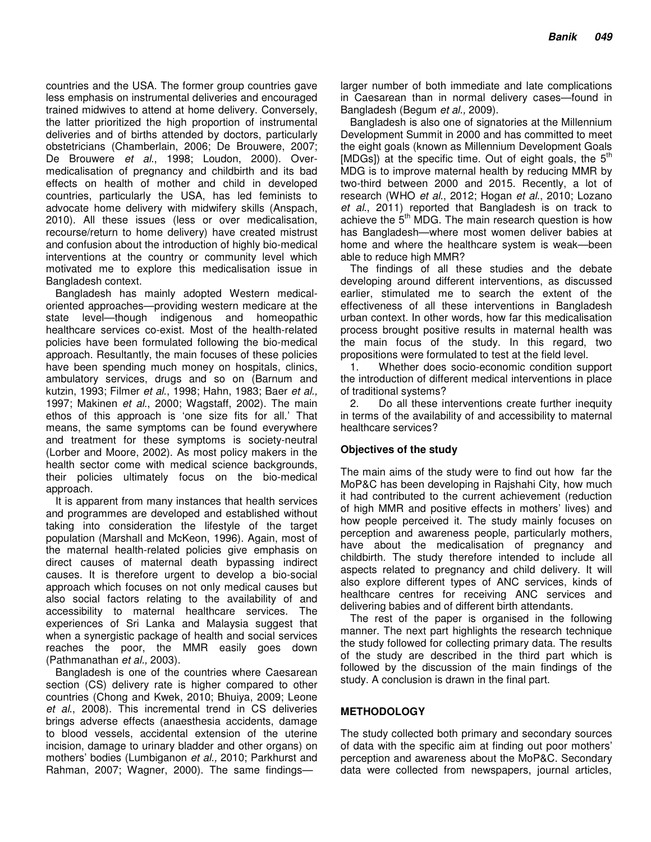countries and the USA. The former group countries gave less emphasis on instrumental deliveries and encouraged trained midwives to attend at home delivery. Conversely, the latter prioritized the high proportion of instrumental deliveries and of births attended by doctors, particularly obstetricians (Chamberlain, 2006; De Brouwere, 2007; De Brouwere *et al*., 1998; Loudon, 2000). Overmedicalisation of pregnancy and childbirth and its bad effects on health of mother and child in developed countries, particularly the USA, has led feminists to advocate home delivery with midwifery skills (Anspach, 2010). All these issues (less or over medicalisation, recourse/return to home delivery) have created mistrust and confusion about the introduction of highly bio-medical interventions at the country or community level which motivated me to explore this medicalisation issue in Bangladesh context.

Bangladesh has mainly adopted Western medicaloriented approaches—providing western medicare at the state level—though indigenous and homeopathic healthcare services co-exist. Most of the health-related policies have been formulated following the bio-medical approach. Resultantly, the main focuses of these policies have been spending much money on hospitals, clinics, ambulatory services, drugs and so on (Barnum and kutzin, 1993; Filmer *et al*., 1998; Hahn, 1983; Baer *et al.,* 1997; Makinen *et al*., 2000; Wagstaff, 2002). The main ethos of this approach is 'one size fits for all.' That means, the same symptoms can be found everywhere and treatment for these symptoms is society-neutral (Lorber and Moore, 2002). As most policy makers in the health sector come with medical science backgrounds, their policies ultimately focus on the bio-medical approach.

It is apparent from many instances that health services and programmes are developed and established without taking into consideration the lifestyle of the target population (Marshall and McKeon, 1996). Again, most of the maternal health-related policies give emphasis on direct causes of maternal death bypassing indirect causes. It is therefore urgent to develop a bio-social approach which focuses on not only medical causes but also social factors relating to the availability of and accessibility to maternal healthcare services. The experiences of Sri Lanka and Malaysia suggest that when a synergistic package of health and social services reaches the poor, the MMR easily goes down (Pathmanathan *et al.,* 2003).

Bangladesh is one of the countries where Caesarean section (CS) delivery rate is higher compared to other countries (Chong and Kwek, 2010; Bhuiya, 2009; Leone *et al*., 2008). This incremental trend in CS deliveries brings adverse effects (anaesthesia accidents, damage to blood vessels, accidental extension of the uterine incision, damage to urinary bladder and other organs) on mothers' bodies (Lumbiganon *et al.,* 2010; Parkhurst and Rahman, 2007; Wagner, 2000). The same findingslarger number of both immediate and late complications in Caesarean than in normal delivery cases—found in Bangladesh (Begum *et al.,* 2009).

Bangladesh is also one of signatories at the Millennium Development Summit in 2000 and has committed to meet the eight goals (known as Millennium Development Goals [MDGs]) at the specific time. Out of eight goals, the  $5<sup>th</sup>$ MDG is to improve maternal health by reducing MMR by two-third between 2000 and 2015. Recently, a lot of research (WHO *et al*., 2012; Hogan *et al*., 2010; Lozano *et al*., 2011) reported that Bangladesh is on track to achieve the  $5<sup>th</sup>$  MDG. The main research question is how has Bangladesh—where most women deliver babies at home and where the healthcare system is weak—been able to reduce high MMR?

The findings of all these studies and the debate developing around different interventions, as discussed earlier, stimulated me to search the extent of the effectiveness of all these interventions in Bangladesh urban context. In other words, how far this medicalisation process brought positive results in maternal health was the main focus of the study. In this regard, two propositions were formulated to test at the field level.

1. Whether does socio-economic condition support the introduction of different medical interventions in place of traditional systems?

2. Do all these interventions create further inequity in terms of the availability of and accessibility to maternal healthcare services?

#### **Objectives of the study**

The main aims of the study were to find out how far the MoP&C has been developing in Rajshahi City, how much it had contributed to the current achievement (reduction of high MMR and positive effects in mothers' lives) and how people perceived it. The study mainly focuses on perception and awareness people, particularly mothers, have about the medicalisation of pregnancy and childbirth. The study therefore intended to include all aspects related to pregnancy and child delivery. It will also explore different types of ANC services, kinds of healthcare centres for receiving ANC services and delivering babies and of different birth attendants.

The rest of the paper is organised in the following manner. The next part highlights the research technique the study followed for collecting primary data. The results of the study are described in the third part which is followed by the discussion of the main findings of the study. A conclusion is drawn in the final part.

#### **METHODOLOGY**

The study collected both primary and secondary sources of data with the specific aim at finding out poor mothers' perception and awareness about the MoP&C. Secondary data were collected from newspapers, journal articles,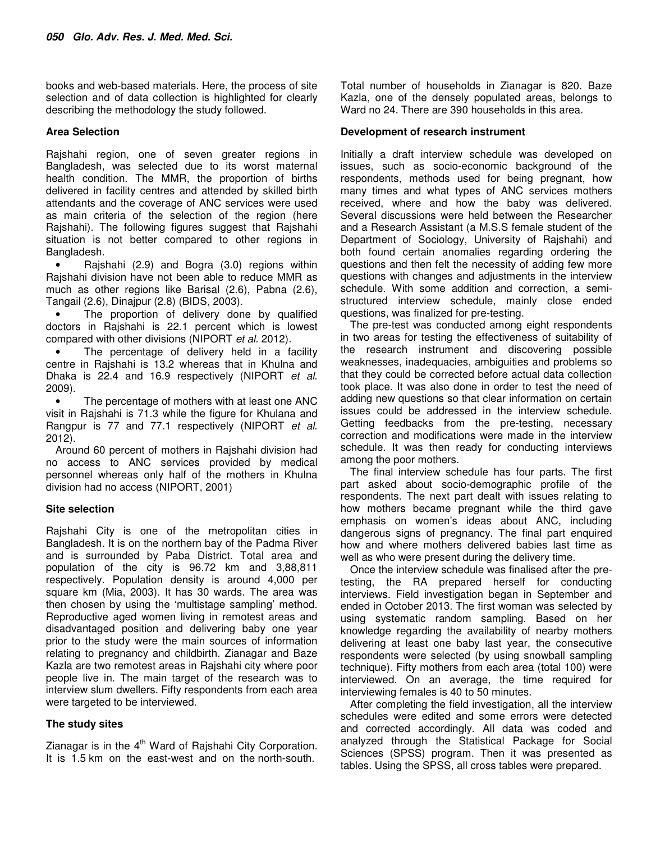books and web-based materials. Here, the process of site selection and of data collection is highlighted for clearly describing the methodology the study followed.

### **Area Selection**

Rajshahi region, one of seven greater regions in Bangladesh, was selected due to its worst maternal health condition. The MMR, the proportion of births delivered in facility centres and attended by skilled birth attendants and the coverage of ANC services were used as main criteria of the selection of the region (here Rajshahi). The following figures suggest that Rajshahi situation is not better compared to other regions in Bangladesh.

• Rajshahi (2.9) and Bogra (3.0) regions within Rajshahi division have not been able to reduce MMR as much as other regions like Barisal (2.6), Pabna (2.6), Tangail (2.6), Dinajpur (2.8) (BIDS, 2003).

The proportion of delivery done by qualified doctors in Rajshahi is 22.1 percent which is lowest compared with other divisions (NIPORT *et al*. 2012).

The percentage of delivery held in a facility centre in Rajshahi is 13.2 whereas that in Khulna and Dhaka is 22.4 and 16.9 respectively (NIPORT *et al*. 2009).

The percentage of mothers with at least one ANC visit in Rajshahi is 71.3 while the figure for Khulana and Rangpur is 77 and 77.1 respectively (NIPORT *et al*. 2012).

Around 60 percent of mothers in Rajshahi division had no access to ANC services provided by medical personnel whereas only half of the mothers in Khulna division had no access (NIPORT, 2001)

#### **Site selection**

Rajshahi City is one of the metropolitan cities in Bangladesh. It is on the northern bay of the Padma River and is surrounded by Paba District. Total area and population of the city is 96.72 km and 3,88,811 respectively. Population density is around 4,000 per square km (Mia, 2003). It has 30 wards. The area was then chosen by using the 'multistage sampling' method. Reproductive aged women living in remotest areas and disadvantaged position and delivering baby one year prior to the study were the main sources of information relating to pregnancy and childbirth. Zianagar and Baze Kazla are two remotest areas in Rajshahi city where poor people live in. The main target of the research was to interview slum dwellers. Fifty respondents from each area were targeted to be interviewed.

#### **The study sites**

Zianagar is in the  $4<sup>th</sup>$  Ward of Rajshahi City Corporation. It is 1.5 km on the east-west and on the north-south.

Total number of households in Zianagar is 820. Baze Kazla, one of the densely populated areas, belongs to Ward no 24. There are 390 households in this area.

## **Development of research instrument**

Initially a draft interview schedule was developed on issues, such as socio-economic background of the respondents, methods used for being pregnant, how many times and what types of ANC services mothers received, where and how the baby was delivered. Several discussions were held between the Researcher and a Research Assistant (a M.S.S female student of the Department of Sociology, University of Rajshahi) and both found certain anomalies regarding ordering the questions and then felt the necessity of adding few more questions with changes and adjustments in the interview schedule. With some addition and correction, a semistructured interview schedule, mainly close ended questions, was finalized for pre-testing.

The pre-test was conducted among eight respondents in two areas for testing the effectiveness of suitability of the research instrument and discovering possible weaknesses, inadequacies, ambiguities and problems so that they could be corrected before actual data collection took place. It was also done in order to test the need of adding new questions so that clear information on certain issues could be addressed in the interview schedule. Getting feedbacks from the pre-testing, necessary correction and modifications were made in the interview schedule. It was then ready for conducting interviews among the poor mothers.

The final interview schedule has four parts. The first part asked about socio-demographic profile of the respondents. The next part dealt with issues relating to how mothers became pregnant while the third gave emphasis on women's ideas about ANC, including dangerous signs of pregnancy. The final part enquired how and where mothers delivered babies last time as well as who were present during the delivery time.

Once the interview schedule was finalised after the pretesting, the RA prepared herself for conducting interviews. Field investigation began in September and ended in October 2013. The first woman was selected by using systematic random sampling. Based on her knowledge regarding the availability of nearby mothers delivering at least one baby last year, the consecutive respondents were selected (by using snowball sampling technique). Fifty mothers from each area (total 100) were interviewed. On an average, the time required for interviewing females is 40 to 50 minutes.

After completing the field investigation, all the interview schedules were edited and some errors were detected and corrected accordingly. All data was coded and analyzed through the Statistical Package for Social Sciences (SPSS) program. Then it was presented as tables. Using the SPSS, all cross tables were prepared.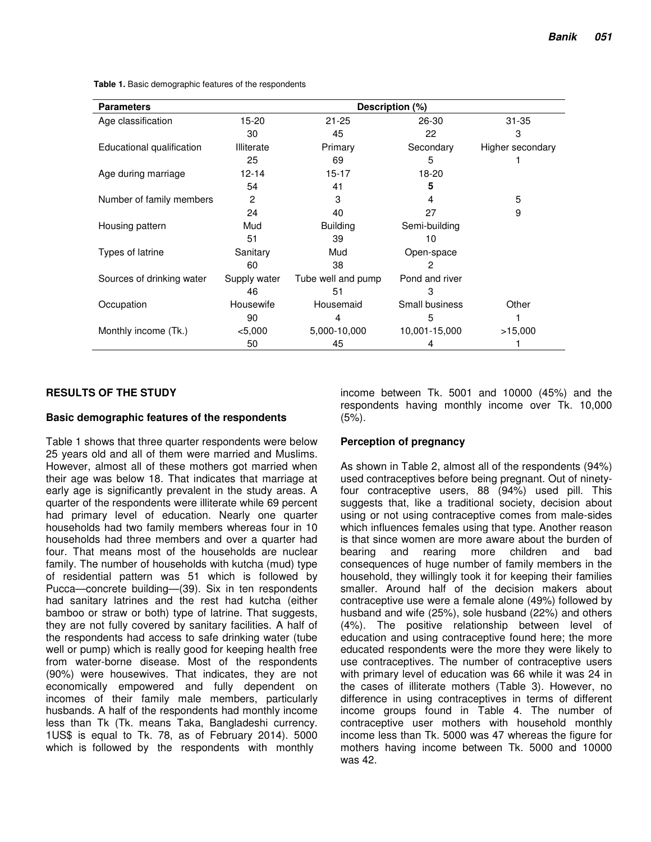| <b>Parameters</b>         | Description (%)   |                    |                |                  |  |  |  |  |
|---------------------------|-------------------|--------------------|----------------|------------------|--|--|--|--|
| Age classification        | 15-20             | $21 - 25$          | 26-30          | $31 - 35$        |  |  |  |  |
|                           | 30                | 45                 | 22             | 3                |  |  |  |  |
| Educational qualification | <b>Illiterate</b> | Primary            | Secondary      | Higher secondary |  |  |  |  |
|                           | 25                | 69                 | 5              |                  |  |  |  |  |
| Age during marriage       | 12-14             | $15 - 17$          | 18-20          |                  |  |  |  |  |
|                           | 54                | 41                 | 5              |                  |  |  |  |  |
| Number of family members  | 2                 | 3                  | 4              | 5                |  |  |  |  |
|                           | 24                | 40                 | 27             | 9                |  |  |  |  |
| Housing pattern           | Mud               | <b>Building</b>    | Semi-building  |                  |  |  |  |  |
|                           | 51                | 39                 | 10             |                  |  |  |  |  |
| Types of latrine          | Sanitary          | Mud                | Open-space     |                  |  |  |  |  |
|                           | 60                | 38                 | 2              |                  |  |  |  |  |
| Sources of drinking water | Supply water      | Tube well and pump | Pond and river |                  |  |  |  |  |
|                           | 46                | 51                 | 3              |                  |  |  |  |  |
| Occupation                | Housewife         | Housemaid          | Small business | Other            |  |  |  |  |
|                           | 90                | 4                  | 5              |                  |  |  |  |  |
| Monthly income (Tk.)      | $<$ 5,000         | 5,000-10,000       | 10,001-15,000  | >15,000          |  |  |  |  |
|                           | 50                | 45                 | 4              |                  |  |  |  |  |

**Table 1.** Basic demographic features of the respondents

# **RESULTS OF THE STUDY**

#### **Basic demographic features of the respondents**

Table 1 shows that three quarter respondents were below 25 years old and all of them were married and Muslims. However, almost all of these mothers got married when their age was below 18. That indicates that marriage at early age is significantly prevalent in the study areas. A quarter of the respondents were illiterate while 69 percent had primary level of education. Nearly one quarter households had two family members whereas four in 10 households had three members and over a quarter had four. That means most of the households are nuclear family. The number of households with kutcha (mud) type of residential pattern was 51 which is followed by Pucca—concrete building—(39). Six in ten respondents had sanitary latrines and the rest had kutcha (either bamboo or straw or both) type of latrine. That suggests, they are not fully covered by sanitary facilities. A half of the respondents had access to safe drinking water (tube well or pump) which is really good for keeping health free from water-borne disease. Most of the respondents (90%) were housewives. That indicates, they are not economically empowered and fully dependent on incomes of their family male members, particularly husbands. A half of the respondents had monthly income less than Tk (Tk. means Taka, Bangladeshi currency. 1US\$ is equal to Tk. 78, as of February 2014). 5000 which is followed by the respondents with monthly

income between Tk. 5001 and 10000 (45%) and the respondents having monthly income over Tk. 10,000  $(5%)$ .

# **Perception of pregnancy**

As shown in Table 2, almost all of the respondents (94%) used contraceptives before being pregnant. Out of ninetyfour contraceptive users, 88 (94%) used pill. This suggests that, like a traditional society, decision about using or not using contraceptive comes from male-sides which influences females using that type. Another reason is that since women are more aware about the burden of bearing and rearing more children and bad consequences of huge number of family members in the household, they willingly took it for keeping their families smaller. Around half of the decision makers about contraceptive use were a female alone (49%) followed by husband and wife (25%), sole husband (22%) and others (4%). The positive relationship between level of education and using contraceptive found here; the more educated respondents were the more they were likely to use contraceptives. The number of contraceptive users with primary level of education was 66 while it was 24 in the cases of illiterate mothers (Table 3). However, no difference in using contraceptives in terms of different income groups found in Table 4. The number of contraceptive user mothers with household monthly income less than Tk. 5000 was 47 whereas the figure for mothers having income between Tk. 5000 and 10000 was 42.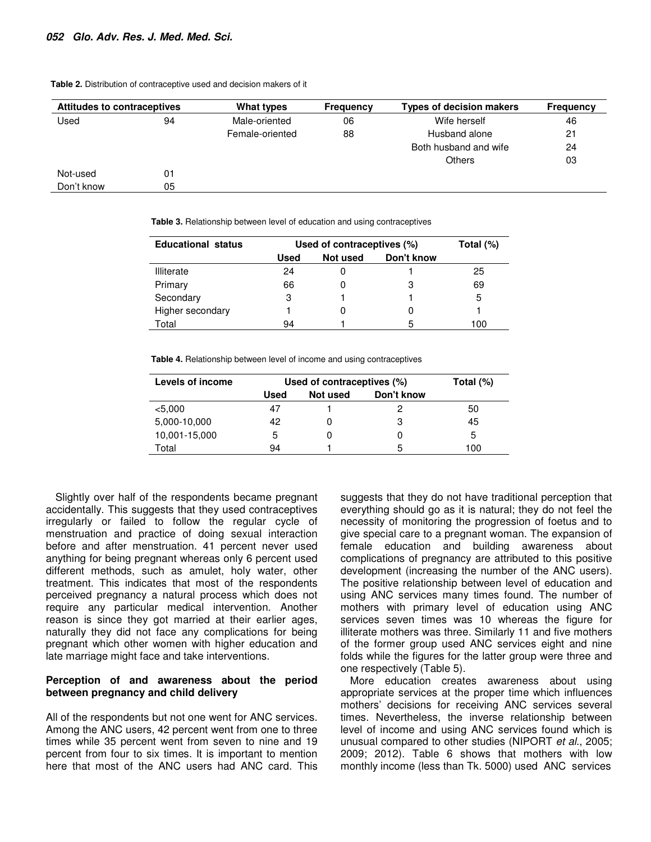| Attitudes to contraceptives<br>What types |    | <b>Frequency</b> | <b>Types of decision makers</b> | <b>Frequency</b>      |    |
|-------------------------------------------|----|------------------|---------------------------------|-----------------------|----|
| Used                                      | 94 | Male-oriented    | 06                              | Wife herself          | 46 |
|                                           |    | Female-oriented  | 88                              | Husband alone         | 21 |
|                                           |    |                  |                                 | Both husband and wife | 24 |
|                                           |    |                  |                                 | <b>Others</b>         | 03 |
| Not-used                                  | 01 |                  |                                 |                       |    |
| Don't know                                | 05 |                  |                                 |                       |    |

**Table 2.** Distribution of contraceptive used and decision makers of it

**Table 3.** Relationship between level of education and using contraceptives

| <b>Educational status</b> | Used of contraceptives (%) | Total (%) |            |     |
|---------------------------|----------------------------|-----------|------------|-----|
|                           | Used                       | Not used  | Don't know |     |
| Illiterate                | 24                         |           |            | 25  |
| Primary                   | 66                         |           | 3          | 69  |
| Secondary                 | З                          |           |            | 5   |
| Higher secondary          |                            |           |            |     |
| Total                     | 94                         |           | 5          | 100 |

**Table 4.** Relationship between level of income and using contraceptives

| Levels of income | Used of contraceptives (%) | Total $(\%)$           |   |     |
|------------------|----------------------------|------------------------|---|-----|
|                  | Used                       | Don't know<br>Not used |   |     |
| < 5,000          | 47                         |                        |   | 50  |
| 5,000-10,000     | 42                         |                        | З | 45  |
| 10,001-15,000    | 5                          |                        |   | 5   |
| Total            | 94                         |                        | 5 | 100 |

Slightly over half of the respondents became pregnant accidentally. This suggests that they used contraceptives irregularly or failed to follow the regular cycle of menstruation and practice of doing sexual interaction before and after menstruation. 41 percent never used anything for being pregnant whereas only 6 percent used different methods, such as amulet, holy water, other treatment. This indicates that most of the respondents perceived pregnancy a natural process which does not require any particular medical intervention. Another reason is since they got married at their earlier ages, naturally they did not face any complications for being pregnant which other women with higher education and late marriage might face and take interventions.

#### **Perception of and awareness about the period between pregnancy and child delivery**

All of the respondents but not one went for ANC services. Among the ANC users, 42 percent went from one to three times while 35 percent went from seven to nine and 19 percent from four to six times. It is important to mention here that most of the ANC users had ANC card. This

suggests that they do not have traditional perception that everything should go as it is natural; they do not feel the necessity of monitoring the progression of foetus and to give special care to a pregnant woman. The expansion of female education and building awareness about complications of pregnancy are attributed to this positive development (increasing the number of the ANC users). The positive relationship between level of education and using ANC services many times found. The number of mothers with primary level of education using ANC services seven times was 10 whereas the figure for illiterate mothers was three. Similarly 11 and five mothers of the former group used ANC services eight and nine folds while the figures for the latter group were three and one respectively (Table 5).

More education creates awareness about using appropriate services at the proper time which influences mothers' decisions for receiving ANC services several times. Nevertheless, the inverse relationship between level of income and using ANC services found which is unusual compared to other studies (NIPORT *et al*., 2005; 2009; 2012). Table 6 shows that mothers with low monthly income (less than Tk. 5000) used ANC services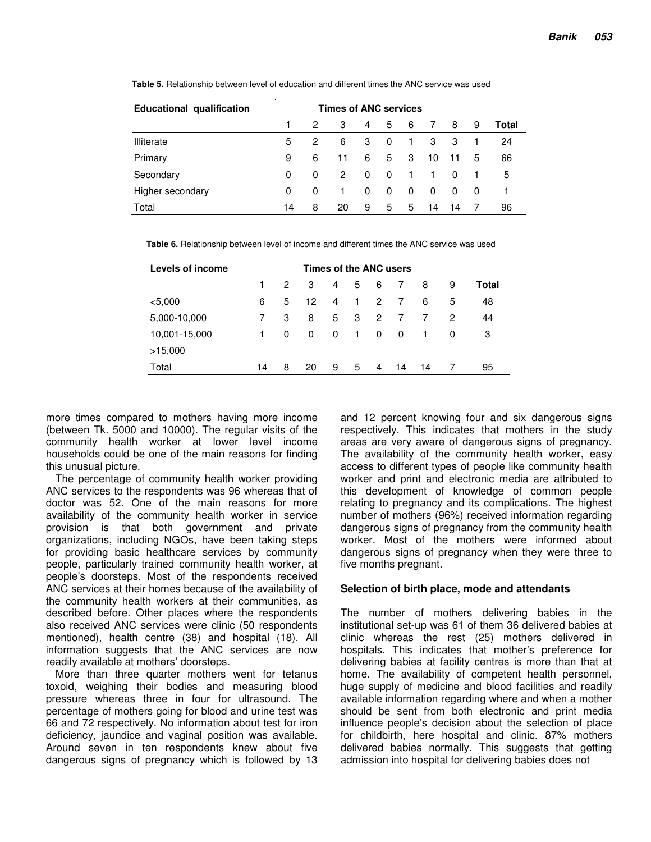| <b>Educational qualification</b> | <b>Times of ANC services</b> |   |    |     |     |   |          |          |     |       |
|----------------------------------|------------------------------|---|----|-----|-----|---|----------|----------|-----|-------|
|                                  |                              | 2 | 3  | 4   | 5   | 6 | 7        | 8        | 9   | Total |
| Illiterate                       | 5                            | 2 | 6  | 3   | 0   | 1 | 3        | -3       |     | 24    |
| Primary                          | 9                            | 6 | 11 | 6   | 5   | 3 | 10       | -11      | 5   | 66    |
| Secondary                        | 0                            | 0 | 2  | - 0 | - 0 | 1 |          | $\Omega$ |     | 5     |
| Higher secondary                 | 0                            | 0 | 1  | 0   | 0   | 0 | $\Omega$ | $\Omega$ | - 0 | 1     |
| Total                            | 14                           | 8 | 20 | 9   | 5   | 5 | 14       | 14       |     | 96    |

**Table 5.** Relationship between level of education and different times the ANC service was used

| Levels of income<br>Times of the ANC users |    |                      |    |          |    |          |    |    |   |       |
|--------------------------------------------|----|----------------------|----|----------|----|----------|----|----|---|-------|
|                                            |    | $\mathbf{2}^{\circ}$ | 3  | 4        | 5  | 6        | 7  | 8  | 9 | Total |
| < 5,000                                    | 6  | 5                    | 12 | 4        | 1. | 2        | 7  | 6  | 5 | 48    |
| 5,000-10,000                               |    | 3                    | 8  | 5        | 3  | 2        | 7  | 7  | 2 | 44    |
| 10,001-15,000                              | 1  | 0                    | 0  | $\Omega$ | 1  | $\Omega$ | 0  | 1  | 0 | З     |
| >15,000                                    |    |                      |    |          |    |          |    |    |   |       |
| Total                                      | 14 | 8                    | 20 | 9        | 5  | 4        | 14 | 14 |   | 95    |

more times compared to mothers having more income (between Tk. 5000 and 10000). The regular visits of the community health worker at lower level income households could be one of the main reasons for finding this unusual picture.

The percentage of community health worker providing ANC services to the respondents was 96 whereas that of doctor was 52. One of the main reasons for more availability of the community health worker in service provision is that both government and private organizations, including NGOs, have been taking steps for providing basic healthcare services by community people, particularly trained community health worker, at people's doorsteps. Most of the respondents received ANC services at their homes because of the availability of the community health workers at their communities, as described before. Other places where the respondents also received ANC services were clinic (50 respondents mentioned), health centre (38) and hospital (18). All information suggests that the ANC services are now readily available at mothers' doorsteps.

More than three quarter mothers went for tetanus toxoid, weighing their bodies and measuring blood pressure whereas three in four for ultrasound. The percentage of mothers going for blood and urine test was 66 and 72 respectively. No information about test for iron deficiency, jaundice and vaginal position was available. Around seven in ten respondents knew about five dangerous signs of pregnancy which is followed by 13

and 12 percent knowing four and six dangerous signs respectively. This indicates that mothers in the study areas are very aware of dangerous signs of pregnancy. The availability of the community health worker, easy access to different types of people like community health worker and print and electronic media are attributed to this development of knowledge of common people relating to pregnancy and its complications. The highest number of mothers (96%) received information regarding dangerous signs of pregnancy from the community health worker. Most of the mothers were informed about dangerous signs of pregnancy when they were three to five months pregnant.

#### **Selection of birth place, mode and attendants**

The number of mothers delivering babies in the institutional set-up was 61 of them 36 delivered babies at clinic whereas the rest (25) mothers delivered in hospitals. This indicates that mother's preference for delivering babies at facility centres is more than that at home. The availability of competent health personnel, huge supply of medicine and blood facilities and readily available information regarding where and when a mother should be sent from both electronic and print media influence people's decision about the selection of place for childbirth, here hospital and clinic. 87% mothers delivered babies normally. This suggests that getting admission into hospital for delivering babies does not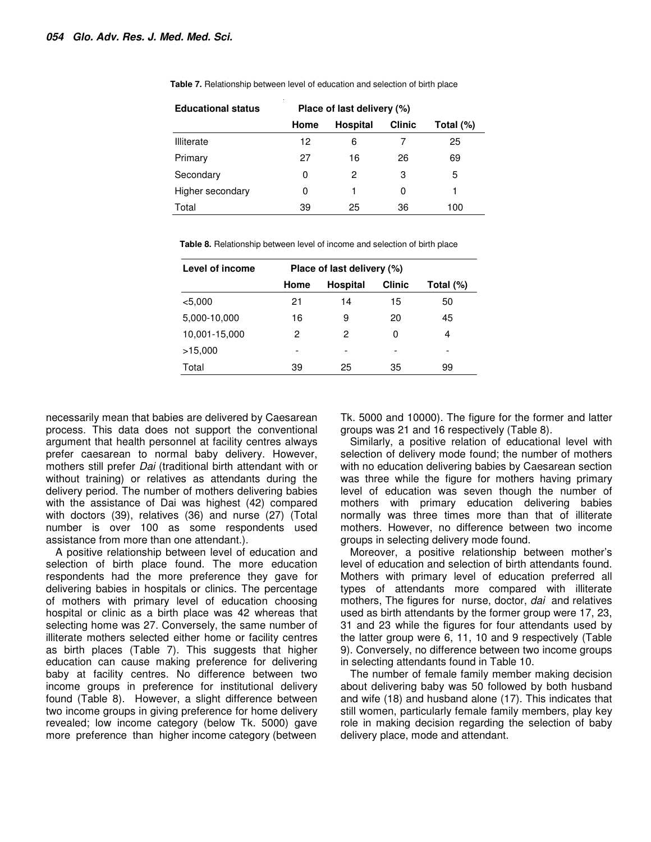| <b>Educational status</b> | Place of last delivery (%) |                 |               |              |  |  |  |  |
|---------------------------|----------------------------|-----------------|---------------|--------------|--|--|--|--|
|                           | Home                       | <b>Hospital</b> | <b>Clinic</b> | Total $(\%)$ |  |  |  |  |
| Illiterate                | 12                         | 6               |               | 25           |  |  |  |  |
| Primary                   | 27                         | 16              | 26            | 69           |  |  |  |  |
| Secondary                 | 0                          | 2               | З             | 5            |  |  |  |  |
| Higher secondary          | 0                          |                 | 0             |              |  |  |  |  |
| Total                     | 39                         | 25              | 36            | 100          |  |  |  |  |

**Table 7.** Relationship between level of education and selection of birth place

**Table 8.** Relationship between level of income and selection of birth place

| Level of income | Place of last delivery (%) |                 |               |              |  |  |  |  |
|-----------------|----------------------------|-----------------|---------------|--------------|--|--|--|--|
|                 | Home                       | <b>Hospital</b> | <b>Clinic</b> | Total $(\%)$ |  |  |  |  |
| < 5,000         | 21                         | 14              | 15            | 50           |  |  |  |  |
| 5,000-10,000    | 16                         | 9               | 20            | 45           |  |  |  |  |
| 10,001-15,000   | 2                          | 2               | 0             | 4            |  |  |  |  |
| >15,000         |                            |                 |               |              |  |  |  |  |
| Total           | 39                         | 25              | 35            | 99           |  |  |  |  |

necessarily mean that babies are delivered by Caesarean process. This data does not support the conventional argument that health personnel at facility centres always prefer caesarean to normal baby delivery. However, mothers still prefer *Dai* (traditional birth attendant with or without training) or relatives as attendants during the delivery period. The number of mothers delivering babies with the assistance of Dai was highest (42) compared with doctors (39), relatives (36) and nurse (27) (Total number is over 100 as some respondents used assistance from more than one attendant.).

A positive relationship between level of education and selection of birth place found. The more education respondents had the more preference they gave for delivering babies in hospitals or clinics. The percentage of mothers with primary level of education choosing hospital or clinic as a birth place was 42 whereas that selecting home was 27. Conversely, the same number of illiterate mothers selected either home or facility centres as birth places (Table 7). This suggests that higher education can cause making preference for delivering baby at facility centres. No difference between two income groups in preference for institutional delivery found (Table 8). However, a slight difference between two income groups in giving preference for home delivery revealed; low income category (below Tk. 5000) gave more preference than higher income category (between

Tk. 5000 and 10000). The figure for the former and latter groups was 21 and 16 respectively (Table 8).

Similarly, a positive relation of educational level with selection of delivery mode found; the number of mothers with no education delivering babies by Caesarean section was three while the figure for mothers having primary level of education was seven though the number of mothers with primary education delivering babies normally was three times more than that of illiterate mothers. However, no difference between two income groups in selecting delivery mode found.

Moreover, a positive relationship between mother's level of education and selection of birth attendants found. Mothers with primary level of education preferred all types of attendants more compared with illiterate mothers, The figures for nurse, doctor, *dai* and relatives used as birth attendants by the former group were 17, 23, 31 and 23 while the figures for four attendants used by the latter group were 6, 11, 10 and 9 respectively (Table 9). Conversely, no difference between two income groups in selecting attendants found in Table 10.

The number of female family member making decision about delivering baby was 50 followed by both husband and wife (18) and husband alone (17). This indicates that still women, particularly female family members, play key role in making decision regarding the selection of baby delivery place, mode and attendant.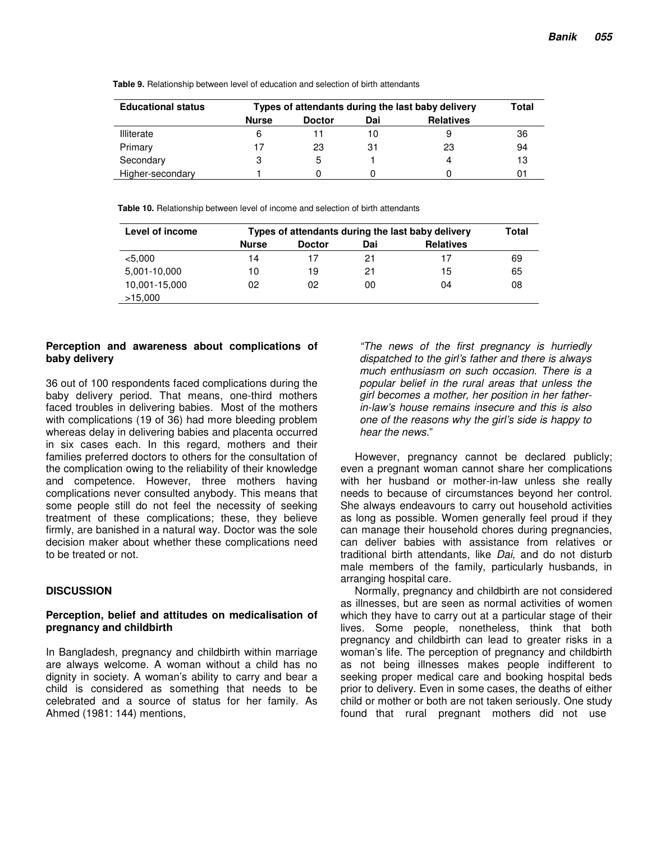| <b>Educational status</b> | Types of attendants during the last baby delivery | Total         |     |                  |    |
|---------------------------|---------------------------------------------------|---------------|-----|------------------|----|
|                           | <b>Nurse</b>                                      | <b>Doctor</b> | Dai | <b>Relatives</b> |    |
| <b>Illiterate</b>         |                                                   |               |     | 9                | 36 |
| Primary                   |                                                   | 23            | 31  | 23               | 94 |
| Secondary                 |                                                   | 5             |     | 4                | 13 |
| Higher-secondary          |                                                   |               |     |                  |    |

**Table 9.** Relationship between level of education and selection of birth attendants

**Table 10.** Relationship between level of income and selection of birth attendants

| Level of income          | Types of attendants during the last baby delivery | Total         |     |                  |    |
|--------------------------|---------------------------------------------------|---------------|-----|------------------|----|
|                          | <b>Nurse</b>                                      | <b>Doctor</b> | Dai | <b>Relatives</b> |    |
| < 5,000                  | 14                                                | 17            | 21  | 17               | 69 |
| 5,001-10,000             | 10                                                | 19            | 21  | 15               | 65 |
| 10,001-15,000<br>>15,000 | 02                                                | 02            | 00  | 04               | 08 |

#### **Perception and awareness about complications of baby delivery**

36 out of 100 respondents faced complications during the baby delivery period. That means, one-third mothers faced troubles in delivering babies. Most of the mothers with complications (19 of 36) had more bleeding problem whereas delay in delivering babies and placenta occurred in six cases each. In this regard, mothers and their families preferred doctors to others for the consultation of the complication owing to the reliability of their knowledge and competence. However, three mothers having complications never consulted anybody. This means that some people still do not feel the necessity of seeking treatment of these complications; these, they believe firmly, are banished in a natural way. Doctor was the sole decision maker about whether these complications need to be treated or not.

# **DISCUSSION**

#### **Perception, belief and attitudes on medicalisation of pregnancy and childbirth**

In Bangladesh, pregnancy and childbirth within marriage are always welcome. A woman without a child has no dignity in society. A woman's ability to carry and bear a child is considered as something that needs to be celebrated and a source of status for her family. As Ahmed (1981: 144) mentions,

*"The news of the first pregnancy is hurriedly dispatched to the girl's father and there is always much enthusiasm on such occasion. There is a popular belief in the rural areas that unless the girl becomes a mother, her position in her fatherin-law's house remains insecure and this is also one of the reasons why the girl's side is happy to hear the news*."

However, pregnancy cannot be declared publicly; even a pregnant woman cannot share her complications with her husband or mother-in-law unless she really needs to because of circumstances beyond her control. She always endeavours to carry out household activities as long as possible. Women generally feel proud if they can manage their household chores during pregnancies, can deliver babies with assistance from relatives or traditional birth attendants, like *Dai*, and do not disturb male members of the family, particularly husbands, in arranging hospital care.

Normally, pregnancy and childbirth are not considered as illnesses, but are seen as normal activities of women which they have to carry out at a particular stage of their lives. Some people, nonetheless, think that both pregnancy and childbirth can lead to greater risks in a woman's life. The perception of pregnancy and childbirth as not being illnesses makes people indifferent to seeking proper medical care and booking hospital beds prior to delivery. Even in some cases, the deaths of either child or mother or both are not taken seriously. One study found that rural pregnant mothers did not use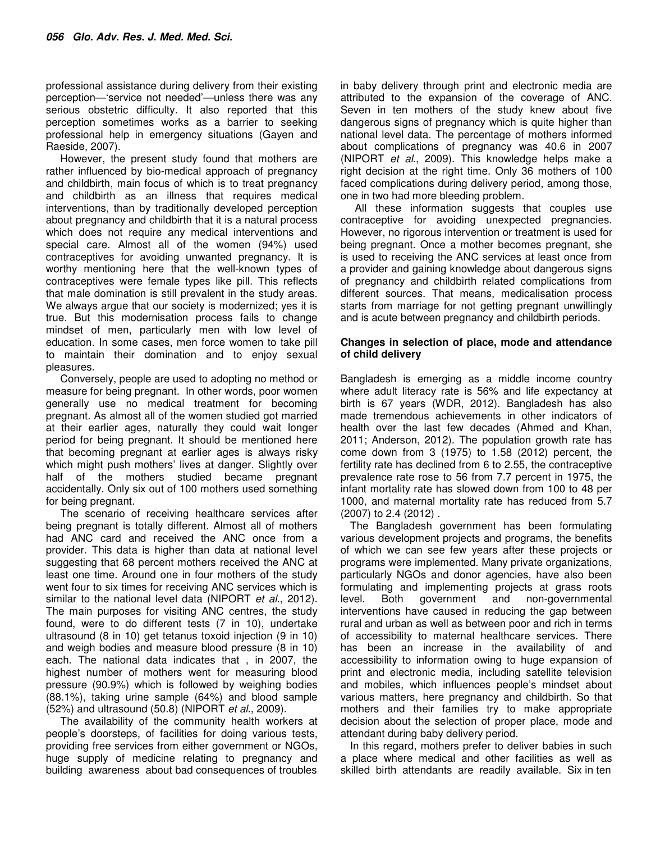professional assistance during delivery from their existing perception—'service not needed'—unless there was any serious obstetric difficulty. It also reported that this perception sometimes works as a barrier to seeking professional help in emergency situations (Gayen and Raeside, 2007).

However, the present study found that mothers are rather influenced by bio-medical approach of pregnancy and childbirth, main focus of which is to treat pregnancy and childbirth as an illness that requires medical interventions, than by traditionally developed perception about pregnancy and childbirth that it is a natural process which does not require any medical interventions and special care. Almost all of the women (94%) used contraceptives for avoiding unwanted pregnancy. It is worthy mentioning here that the well-known types of contraceptives were female types like pill. This reflects that male domination is still prevalent in the study areas. We always argue that our society is modernized; yes it is true. But this modernisation process fails to change mindset of men, particularly men with low level of education. In some cases, men force women to take pill to maintain their domination and to enjoy sexual pleasures.

Conversely, people are used to adopting no method or measure for being pregnant. In other words, poor women generally use no medical treatment for becoming pregnant. As almost all of the women studied got married at their earlier ages, naturally they could wait longer period for being pregnant. It should be mentioned here that becoming pregnant at earlier ages is always risky which might push mothers' lives at danger. Slightly over half of the mothers studied became pregnant accidentally. Only six out of 100 mothers used something for being pregnant.

The scenario of receiving healthcare services after being pregnant is totally different. Almost all of mothers had ANC card and received the ANC once from a provider. This data is higher than data at national level suggesting that 68 percent mothers received the ANC at least one time. Around one in four mothers of the study went four to six times for receiving ANC services which is similar to the national level data (NIPORT *et al*., 2012). The main purposes for visiting ANC centres, the study found, were to do different tests (7 in 10), undertake ultrasound (8 in 10) get tetanus toxoid injection (9 in 10) and weigh bodies and measure blood pressure (8 in 10) each. The national data indicates that , in 2007, the highest number of mothers went for measuring blood pressure (90.9%) which is followed by weighing bodies (88.1%), taking urine sample (64%) and blood sample (52%) and ultrasound (50.8) (NIPORT *et al*., 2009).

The availability of the community health workers at people's doorsteps, of facilities for doing various tests, providing free services from either government or NGOs, huge supply of medicine relating to pregnancy and building awareness about bad consequences of troubles in baby delivery through print and electronic media are attributed to the expansion of the coverage of ANC. Seven in ten mothers of the study knew about five dangerous signs of pregnancy which is quite higher than national level data. The percentage of mothers informed about complications of pregnancy was 40.6 in 2007 (NIPORT *et al*., 2009). This knowledge helps make a right decision at the right time. Only 36 mothers of 100 faced complications during delivery period, among those, one in two had more bleeding problem.

All these information suggests that couples use contraceptive for avoiding unexpected pregnancies. However, no rigorous intervention or treatment is used for being pregnant. Once a mother becomes pregnant, she is used to receiving the ANC services at least once from a provider and gaining knowledge about dangerous signs of pregnancy and childbirth related complications from different sources. That means, medicalisation process starts from marriage for not getting pregnant unwillingly and is acute between pregnancy and childbirth periods.

#### **Changes in selection of place, mode and attendance of child delivery**

Bangladesh is emerging as a middle income country where adult literacy rate is 56% and life expectancy at birth is 67 years (WDR, 2012). Bangladesh has also made tremendous achievements in other indicators of health over the last few decades (Ahmed and Khan, 2011; Anderson, 2012). The population growth rate has come down from 3 (1975) to 1.58 (2012) percent, the fertility rate has declined from 6 to 2.55, the contraceptive prevalence rate rose to 56 from 7.7 percent in 1975, the infant mortality rate has slowed down from 100 to 48 per 1000, and maternal mortality rate has reduced from 5.7 (2007) to 2.4 (2012) .

The Bangladesh government has been formulating various development projects and programs, the benefits of which we can see few years after these projects or programs were implemented. Many private organizations, particularly NGOs and donor agencies, have also been formulating and implementing projects at grass roots level. Both government and non-governmental interventions have caused in reducing the gap between rural and urban as well as between poor and rich in terms of accessibility to maternal healthcare services. There has been an increase in the availability of and accessibility to information owing to huge expansion of print and electronic media, including satellite television and mobiles, which influences people's mindset about various matters, here pregnancy and childbirth. So that mothers and their families try to make appropriate decision about the selection of proper place, mode and attendant during baby delivery period.

In this regard, mothers prefer to deliver babies in such a place where medical and other facilities as well as skilled birth attendants are readily available. Six in ten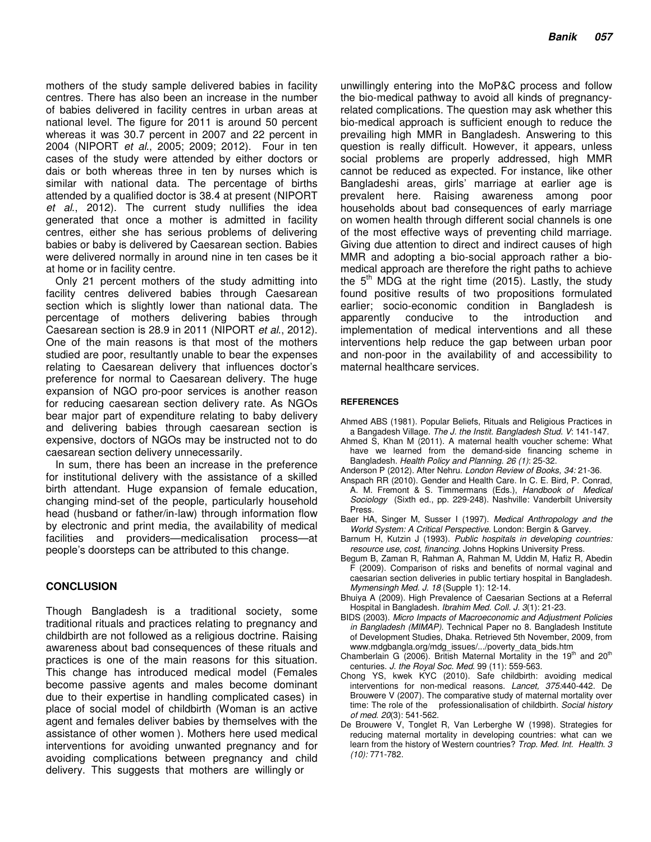mothers of the study sample delivered babies in facility centres. There has also been an increase in the number of babies delivered in facility centres in urban areas at national level. The figure for 2011 is around 50 percent whereas it was 30.7 percent in 2007 and 22 percent in 2004 (NIPORT *et al*., 2005; 2009; 2012). Four in ten cases of the study were attended by either doctors or dais or both whereas three in ten by nurses which is similar with national data. The percentage of births attended by a qualified doctor is 38.4 at present (NIPORT *et al*., 2012). The current study nullifies the idea generated that once a mother is admitted in facility centres, either she has serious problems of delivering babies or baby is delivered by Caesarean section. Babies were delivered normally in around nine in ten cases be it at home or in facility centre.

Only 21 percent mothers of the study admitting into facility centres delivered babies through Caesarean section which is slightly lower than national data. The percentage of mothers delivering babies through Caesarean section is 28.9 in 2011 (NIPORT *et al*., 2012). One of the main reasons is that most of the mothers studied are poor, resultantly unable to bear the expenses relating to Caesarean delivery that influences doctor's preference for normal to Caesarean delivery. The huge expansion of NGO pro-poor services is another reason for reducing caesarean section delivery rate. As NGOs bear major part of expenditure relating to baby delivery and delivering babies through caesarean section is expensive, doctors of NGOs may be instructed not to do caesarean section delivery unnecessarily.

In sum, there has been an increase in the preference for institutional delivery with the assistance of a skilled birth attendant. Huge expansion of female education, changing mind-set of the people, particularly household head (husband or father/in-law) through information flow by electronic and print media, the availability of medical facilities and providers—medicalisation process—at people's doorsteps can be attributed to this change.

#### **CONCLUSION**

Though Bangladesh is a traditional society, some traditional rituals and practices relating to pregnancy and childbirth are not followed as a religious doctrine. Raising awareness about bad consequences of these rituals and practices is one of the main reasons for this situation. This change has introduced medical model (Females become passive agents and males become dominant due to their expertise in handling complicated cases) in place of social model of childbirth (Woman is an active agent and females deliver babies by themselves with the assistance of other women ). Mothers here used medical interventions for avoiding unwanted pregnancy and for avoiding complications between pregnancy and child delivery. This suggests that mothers are willingly or

unwillingly entering into the MoP&C process and follow the bio-medical pathway to avoid all kinds of pregnancyrelated complications. The question may ask whether this bio-medical approach is sufficient enough to reduce the prevailing high MMR in Bangladesh. Answering to this question is really difficult. However, it appears, unless social problems are properly addressed, high MMR cannot be reduced as expected. For instance, like other Bangladeshi areas, girls' marriage at earlier age is prevalent here. Raising awareness among poor households about bad consequences of early marriage on women health through different social channels is one of the most effective ways of preventing child marriage. Giving due attention to direct and indirect causes of high MMR and adopting a bio-social approach rather a biomedical approach are therefore the right paths to achieve the  $5<sup>th</sup>$  MDG at the right time (2015). Lastly, the study found positive results of two propositions formulated earlier; socio-economic condition in Bangladesh is apparently conducive to the introduction and implementation of medical interventions and all these interventions help reduce the gap between urban poor and non-poor in the availability of and accessibility to maternal healthcare services.

#### **REFERENCES**

- Ahmed ABS (1981). Popular Beliefs, Rituals and Religious Practices in a Bangadesh Village. *The J. the Instit. Bangladesh Stud. V*: 141-147.
- Ahmed S, Khan M (2011). A maternal health voucher scheme: What have we learned from the demand-side financing scheme in Bangladesh. *Health Policy and Planning. 26 (1)*: 25-32.
- Anderson P (2012). After Nehru. *London Review of Books, 34:* 21-36.
- Anspach RR (2010). Gender and Health Care. In C. E. Bird, P. Conrad, A. M. Fremont & S. Timmermans (Eds.), *Handbook of Medical Sociology* (Sixth ed., pp. 229-248). Nashville: Vanderbilt University Press.
- Baer HA, Singer M, Susser I (1997). *Medical Anthropology and the World System: A Critical Perspective*. London: Bergin & Garvey.
- Barnum H, Kutzin J (1993). *Public hospitals in developing countries: resource use, cost, financing*. Johns Hopkins University Press.
- Begum B, Zaman R, Rahman A, Rahman M, Uddin M, Hafiz R, Abedin F (2009). Comparison of risks and benefits of normal vaginal and caesarian section deliveries in public tertiary hospital in Bangladesh. *Mymensingh Med. J. 18* (Supple 1): 12-14.
- Bhuiya A (2009). High Prevalence of Caesarian Sections at a Referral Hospital in Bangladesh. *Ibrahim Med. Coll. J. 3*(1): 21-23.
- BIDS (2003). *Micro Impacts of Macroeconomic and Adjustment Policies in Bangladesh (MIMAP).* Technical Paper no 8. Bangladesh Institute of Development Studies, Dhaka. Retrieved 5th November, 2009, from www.mdgbangla.org/mdg\_issues/.../poverty\_data\_bids.htm
- Chamberlain G (2006). British Maternal Mortality in the  $19<sup>th</sup>$  and  $20<sup>th</sup>$ centuries. *J. the Royal Soc. Med*. 99 (11): 559-563.
- Chong YS, kwek KYC (2010). Safe childbirth: avoiding medical interventions for non-medical reasons. *Lancet, 375:*440-442. De Brouwere V (2007). The comparative study of maternal mortality over time: The role of the professionalisation of childbirth. *Social history of med. 20*(3): 541-562.
- De Brouwere V, Tonglet R, Van Lerberghe W (1998). Strategies for reducing maternal mortality in developing countries: what can we learn from the history of Western countries? *Trop. Med. Int. Health. 3 (10):* 771-782.